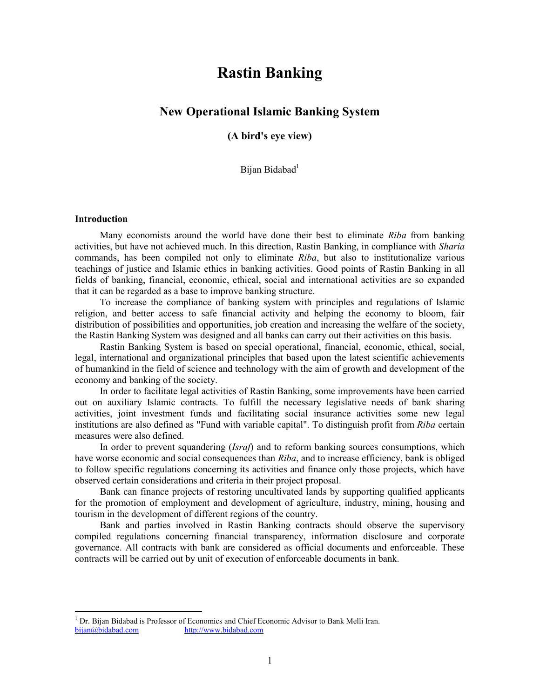# **Rastin Banking**

# **New Operational Islamic Banking System**

**(A bird's eye view)** 

Bijan Bidabad<sup>1</sup>

#### **Introduction**

 $\overline{a}$ 

Many economists around the world have done their best to eliminate *Riba* from banking activities, but have not achieved much. In this direction, Rastin Banking, in compliance with *Sharia* commands, has been compiled not only to eliminate *Riba*, but also to institutionalize various teachings of justice and Islamic ethics in banking activities. Good points of Rastin Banking in all fields of banking, financial, economic, ethical, social and international activities are so expanded that it can be regarded as a base to improve banking structure.

To increase the compliance of banking system with principles and regulations of Islamic religion, and better access to safe financial activity and helping the economy to bloom, fair distribution of possibilities and opportunities, job creation and increasing the welfare of the society, the Rastin Banking System was designed and all banks can carry out their activities on this basis.

Rastin Banking System is based on special operational, financial, economic, ethical, social, legal, international and organizational principles that based upon the latest scientific achievements of humankind in the field of science and technology with the aim of growth and development of the economy and banking of the society.

In order to facilitate legal activities of Rastin Banking, some improvements have been carried out on auxiliary Islamic contracts. To fulfill the necessary legislative needs of bank sharing activities, joint investment funds and facilitating social insurance activities some new legal institutions are also defined as "Fund with variable capital". To distinguish profit from *Riba* certain measures were also defined.

In order to prevent squandering (*Israf*) and to reform banking sources consumptions, which have worse economic and social consequences than *Riba*, and to increase efficiency, bank is obliged to follow specific regulations concerning its activities and finance only those projects, which have observed certain considerations and criteria in their project proposal.

Bank can finance projects of restoring uncultivated lands by supporting qualified applicants for the promotion of employment and development of agriculture, industry, mining, housing and tourism in the development of different regions of the country.

Bank and parties involved in Rastin Banking contracts should observe the supervisory compiled regulations concerning financial transparency, information disclosure and corporate governance. All contracts with bank are considered as official documents and enforceable. These contracts will be carried out by unit of execution of enforceable documents in bank.

<sup>&</sup>lt;sup>1</sup> Dr. Bijan Bidabad is Professor of Economics and Chief Economic Advisor to Bank Melli Iran.<br>bijan@bidabad.com http://www.bidabad.com <http://www.bidabad.com>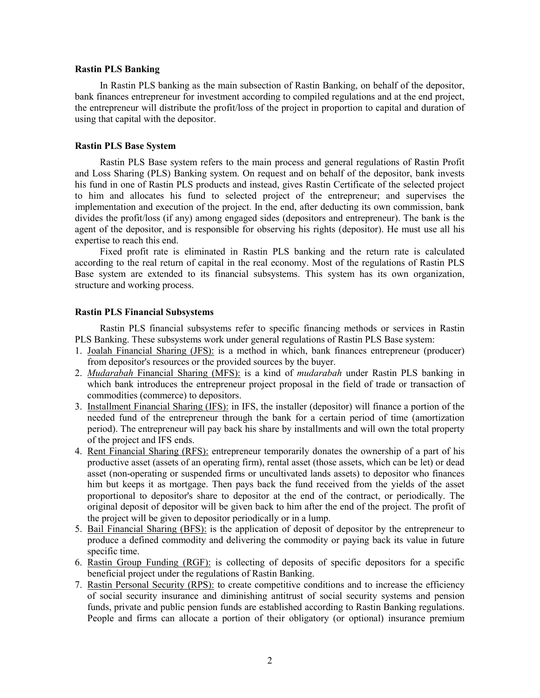#### **Rastin PLS Banking**

In Rastin PLS banking as the main subsection of Rastin Banking, on behalf of the depositor, bank finances entrepreneur for investment according to compiled regulations and at the end project, the entrepreneur will distribute the profit/loss of the project in proportion to capital and duration of using that capital with the depositor.

#### **Rastin PLS Base System**

Rastin PLS Base system refers to the main process and general regulations of Rastin Profit and Loss Sharing (PLS) Banking system. On request and on behalf of the depositor, bank invests his fund in one of Rastin PLS products and instead, gives Rastin Certificate of the selected project to him and allocates his fund to selected project of the entrepreneur; and supervises the implementation and execution of the project. In the end, after deducting its own commission, bank divides the profit/loss (if any) among engaged sides (depositors and entrepreneur). The bank is the agent of the depositor, and is responsible for observing his rights (depositor). He must use all his expertise to reach this end.

Fixed profit rate is eliminated in Rastin PLS banking and the return rate is calculated according to the real return of capital in the real economy. Most of the regulations of Rastin PLS Base system are extended to its financial subsystems. This system has its own organization, structure and working process.

#### **Rastin PLS Financial Subsystems**

Rastin PLS financial subsystems refer to specific financing methods or services in Rastin PLS Banking. These subsystems work under general regulations of Rastin PLS Base system:

- 1. Joalah Financial Sharing (JFS): is a method in which, bank finances entrepreneur (producer) from depositor's resources or the provided sources by the buyer.
- 2. *Mudarabah* Financial Sharing (MFS): is a kind of *mudarabah* under Rastin PLS banking in which bank introduces the entrepreneur project proposal in the field of trade or transaction of commodities (commerce) to depositors.
- 3. Installment Financial Sharing (IFS): in IFS, the installer (depositor) will finance a portion of the needed fund of the entrepreneur through the bank for a certain period of time (amortization period). The entrepreneur will pay back his share by installments and will own the total property of the project and IFS ends.
- 4. Rent Financial Sharing (RFS): entrepreneur temporarily donates the ownership of a part of his productive asset (assets of an operating firm), rental asset (those assets, which can be let) or dead asset (non-operating or suspended firms or uncultivated lands assets) to depositor who finances him but keeps it as mortgage. Then pays back the fund received from the yields of the asset proportional to depositor's share to depositor at the end of the contract, or periodically. The original deposit of depositor will be given back to him after the end of the project. The profit of the project will be given to depositor periodically or in a lump.
- 5. Bail Financial Sharing (BFS): is the application of deposit of depositor by the entrepreneur to produce a defined commodity and delivering the commodity or paying back its value in future specific time.
- 6. Rastin Group Funding (RGF): is collecting of deposits of specific depositors for a specific beneficial project under the regulations of Rastin Banking.
- 7. Rastin Personal Security (RPS): to create competitive conditions and to increase the efficiency of social security insurance and diminishing antitrust of social security systems and pension funds, private and public pension funds are established according to Rastin Banking regulations. People and firms can allocate a portion of their obligatory (or optional) insurance premium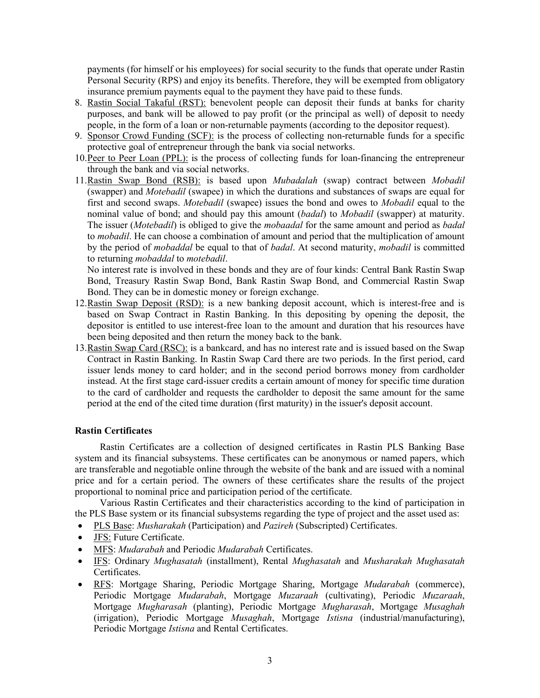payments (for himself or his employees) for social security to the funds that operate under Rastin Personal Security (RPS) and enjoy its benefits. Therefore, they will be exempted from obligatory insurance premium payments equal to the payment they have paid to these funds.

- 8. Rastin Social Takaful (RST): benevolent people can deposit their funds at banks for charity purposes, and bank will be allowed to pay profit (or the principal as well) of deposit to needy people, in the form of a loan or non-returnable payments (according to the depositor request).
- 9. Sponsor Crowd Funding (SCF): is the process of collecting non-returnable funds for a specific protective goal of entrepreneur through the bank via social networks.
- 10.Peer to Peer Loan (PPL): is the process of collecting funds for loan-financing the entrepreneur through the bank and via social networks.
- 11.Rastin Swap Bond (RSB): is based upon *Mubadalah* (swap) contract between *Mobadil* (swapper) and *Motebadil* (swapee) in which the durations and substances of swaps are equal for first and second swaps. *Motebadil* (swapee) issues the bond and owes to *Mobadil* equal to the nominal value of bond; and should pay this amount (*badal*) to *Mobadil* (swapper) at maturity. The issuer (*Motebadil*) is obliged to give the *mobaadal* for the same amount and period as *badal*  to *mobadil*. He can choose a combination of amount and period that the multiplication of amount by the period of *mobaddal* be equal to that of *badal*. At second maturity, *mobadil* is committed to returning *mobaddal* to *motebadil*.

No interest rate is involved in these bonds and they are of four kinds: Central Bank Rastin Swap Bond, Treasury Rastin Swap Bond, Bank Rastin Swap Bond, and Commercial Rastin Swap Bond. They can be in domestic money or foreign exchange.

- 12.Rastin Swap Deposit (RSD): is a new banking deposit account, which is interest-free and is based on Swap Contract in Rastin Banking. In this depositing by opening the deposit, the depositor is entitled to use interest-free loan to the amount and duration that his resources have been being deposited and then return the money back to the bank.
- 13.Rastin Swap Card (RSC): is a bankcard, and has no interest rate and is issued based on the Swap Contract in Rastin Banking. In Rastin Swap Card there are two periods. In the first period, card issuer lends money to card holder; and in the second period borrows money from cardholder instead. At the first stage card-issuer credits a certain amount of money for specific time duration to the card of cardholder and requests the cardholder to deposit the same amount for the same period at the end of the cited time duration (first maturity) in the issuer's deposit account.

### **Rastin Certificates**

Rastin Certificates are a collection of designed certificates in Rastin PLS Banking Base system and its financial subsystems. These certificates can be anonymous or named papers, which are transferable and negotiable online through the website of the bank and are issued with a nominal price and for a certain period. The owners of these certificates share the results of the project proportional to nominal price and participation period of the certificate.

Various Rastin Certificates and their characteristics according to the kind of participation in the PLS Base system or its financial subsystems regarding the type of project and the asset used as:

- · PLS Base: *Musharakah* (Participation) and *Pazireh* (Subscripted) Certificates.
- · JFS: Future Certificate.
- · MFS: *Mudarabah* and Periodic *Mudarabah* Certificates.
- · IFS: Ordinary *Mughasatah* (installment), Rental *Mughasatah* and *Musharakah Mughasatah* Certificates.
- · RFS: Mortgage Sharing, Periodic Mortgage Sharing, Mortgage *Mudarabah* (commerce), Periodic Mortgage *Mudarabah*, Mortgage *Muzaraah* (cultivating), Periodic *Muzaraah*, Mortgage *Mugharasah* (planting), Periodic Mortgage *Mugharasah*, Mortgage *Musaghah* (irrigation), Periodic Mortgage *Musaghah*, Mortgage *Istisna* (industrial/manufacturing), Periodic Mortgage *Istisna* and Rental Certificates.